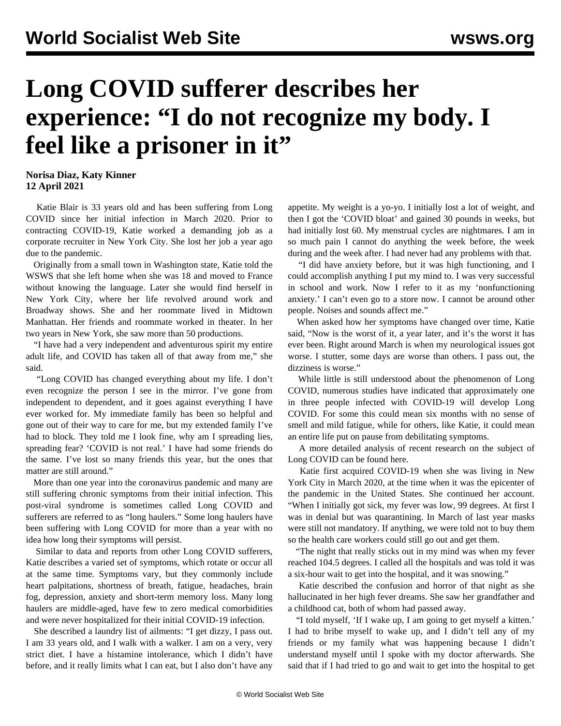## **Long COVID sufferer describes her experience: "I do not recognize my body. I feel like a prisoner in it"**

## **Norisa Diaz, Katy Kinner 12 April 2021**

 Katie Blair is 33 years old and has been suffering from Long COVID since her initial infection in March 2020. Prior to contracting COVID-19, Katie worked a demanding job as a corporate recruiter in New York City. She lost her job a year ago due to the pandemic.

 Originally from a small town in Washington state, Katie told the WSWS that she left home when she was 18 and moved to France without knowing the language. Later she would find herself in New York City, where her life revolved around work and Broadway shows. She and her roommate lived in Midtown Manhattan. Her friends and roommate worked in theater. In her two years in New York, she saw more than 50 productions.

 "I have had a very independent and adventurous spirit my entire adult life, and COVID has taken all of that away from me," she said.

 "Long COVID has changed everything about my life. I don't even recognize the person I see in the mirror. I've gone from independent to dependent, and it goes against everything I have ever worked for. My immediate family has been so helpful and gone out of their way to care for me, but my extended family I've had to block. They told me I look fine, why am I spreading lies, spreading fear? 'COVID is not real.' I have had some friends do the same. I've lost so many friends this year, but the ones that matter are still around."

 More than one year into the coronavirus pandemic and many are still suffering chronic symptoms from their initial infection. This post-viral syndrome is sometimes called Long COVID and sufferers are referred to as "long haulers." Some long haulers have been suffering with Long COVID for more than a year with no idea how long their symptoms will persist.

 Similar to data and reports from other Long COVID sufferers, Katie describes a varied set of symptoms, which rotate or occur all at the same time. Symptoms vary, but they commonly include heart palpitations, shortness of breath, fatigue, headaches, brain fog, depression, anxiety and short-term memory loss. Many long haulers are middle-aged, have few to zero medical comorbidities and were never hospitalized for their initial COVID-19 infection.

 She described a laundry list of ailments: "I get dizzy, I pass out. I am 33 years old, and I walk with a walker. I am on a very, very strict diet. I have a histamine intolerance, which I didn't have before, and it really limits what I can eat, but I also don't have any

appetite. My weight is a yo-yo. I initially lost a lot of weight, and then I got the 'COVID bloat' and gained 30 pounds in weeks, but had initially lost 60. My menstrual cycles are nightmares. I am in so much pain I cannot do anything the week before, the week during and the week after. I had never had any problems with that.

 "I did have anxiety before, but it was high functioning, and I could accomplish anything I put my mind to. I was very successful in school and work. Now I refer to it as my 'nonfunctioning anxiety.' I can't even go to a store now. I cannot be around other people. Noises and sounds affect me."

 When asked how her symptoms have changed over time, Katie said, "Now is the worst of it, a year later, and it's the worst it has ever been. Right around March is when my neurological issues got worse. I stutter, some days are worse than others. I pass out, the dizziness is worse."

 While little is still understood about the phenomenon of Long COVID, numerous studies have indicated that approximately one in three people infected with COVID-19 will develop Long COVID. For some this could mean six months with no sense of smell and mild fatigue, while for others, like Katie, it could mean an entire life put on pause from debilitating symptoms.

 A more detailed analysis of recent research on the subject of Long COVID can be found [here](/en/articles/2021/03/23/long-m23.html).

 Katie first acquired COVID-19 when she was living in New York City in March 2020, at the time when it was the epicenter of the pandemic in the United States. She continued her account. "When I initially got sick, my fever was low, 99 degrees. At first I was in denial but was quarantining. In March of last year masks were still not mandatory. If anything, we were told not to buy them so the health care workers could still go out and get them.

 "The night that really sticks out in my mind was when my fever reached 104.5 degrees. I called all the hospitals and was told it was a six-hour wait to get into the hospital, and it was snowing."

 Katie described the confusion and horror of that night as she hallucinated in her high fever dreams. She saw her grandfather and a childhood cat, both of whom had passed away.

 "I told myself, 'If I wake up, I am going to get myself a kitten.' I had to bribe myself to wake up, and I didn't tell any of my friends or my family what was happening because I didn't understand myself until I spoke with my doctor afterwards. She said that if I had tried to go and wait to get into the hospital to get